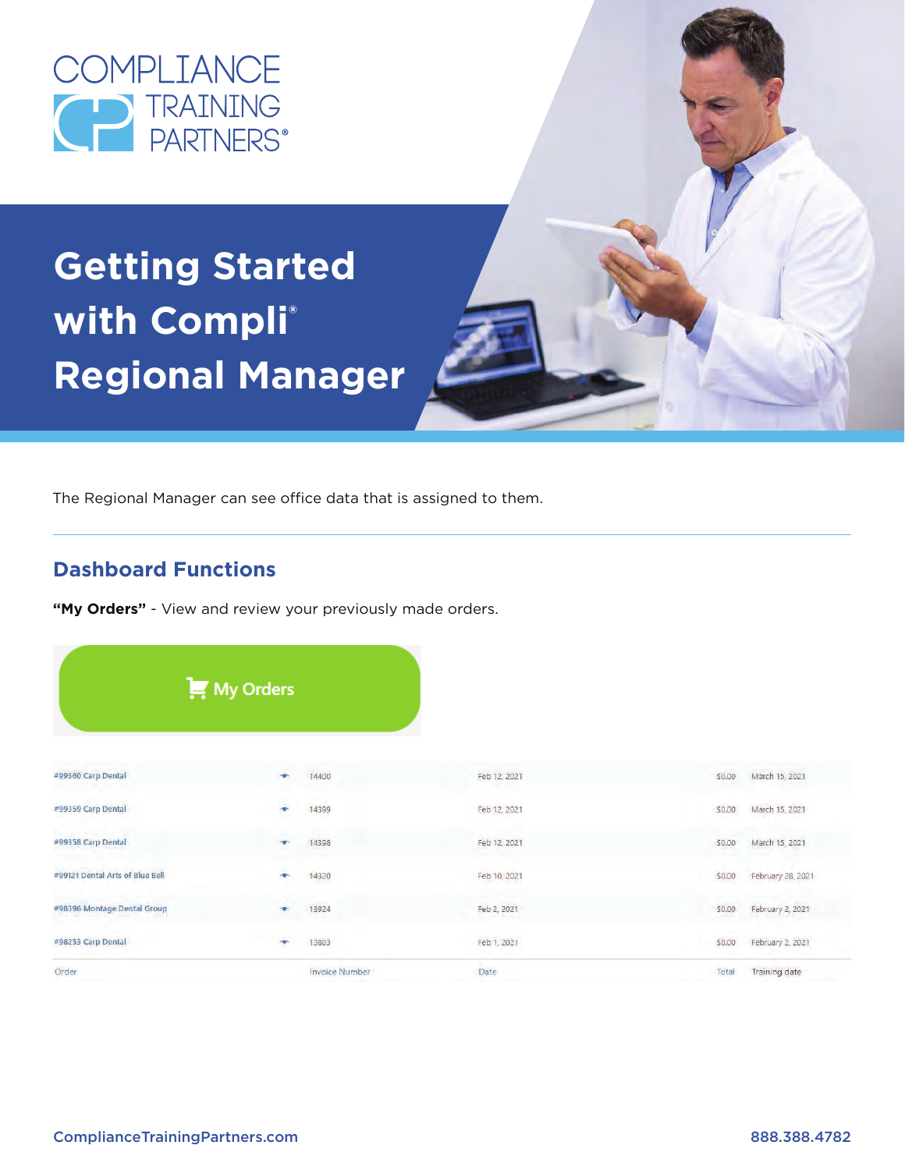

# **Getting Started with Compli® Regional Manager**



## **Dashboard Functions**

"My Orders" - View and review your previously made orders.

|                                 | $\mathbf{M}$ My Orders |                                  |                             |
|---------------------------------|------------------------|----------------------------------|-----------------------------|
|                                 |                        |                                  |                             |
|                                 |                        |                                  |                             |
| #99360 Carp Dental              | 14400                  | Feb 12, 2021                     | March 15, 2021<br>\$0.00    |
| #99359 Carp Dental              | 14399<br>$\bullet$     | Feb 12, 2021                     | March 15, 2021<br>50.00     |
| #99358 Carp Dental              | 14398                  | Feb 12, 2021                     | March 15, 2021<br>\$0.00    |
| #99121 Dental Arts of Blue Bell | 14320                  | Feb 10, 2021                     | February 28, 2021<br>\$0.00 |
| #98396 Montage Dental Group     | 13924                  | Feb 2, 2021<br><b>CONTRACTOR</b> | February 2, 2021<br>\$0.00  |
| #98253 Carp Dental              | 13883<br>÷             | Feb 1, 2021                      | February 2, 2021<br>\$0.00  |
| Order                           | <b>Invoice Number</b>  | Date                             | Training date<br>Total      |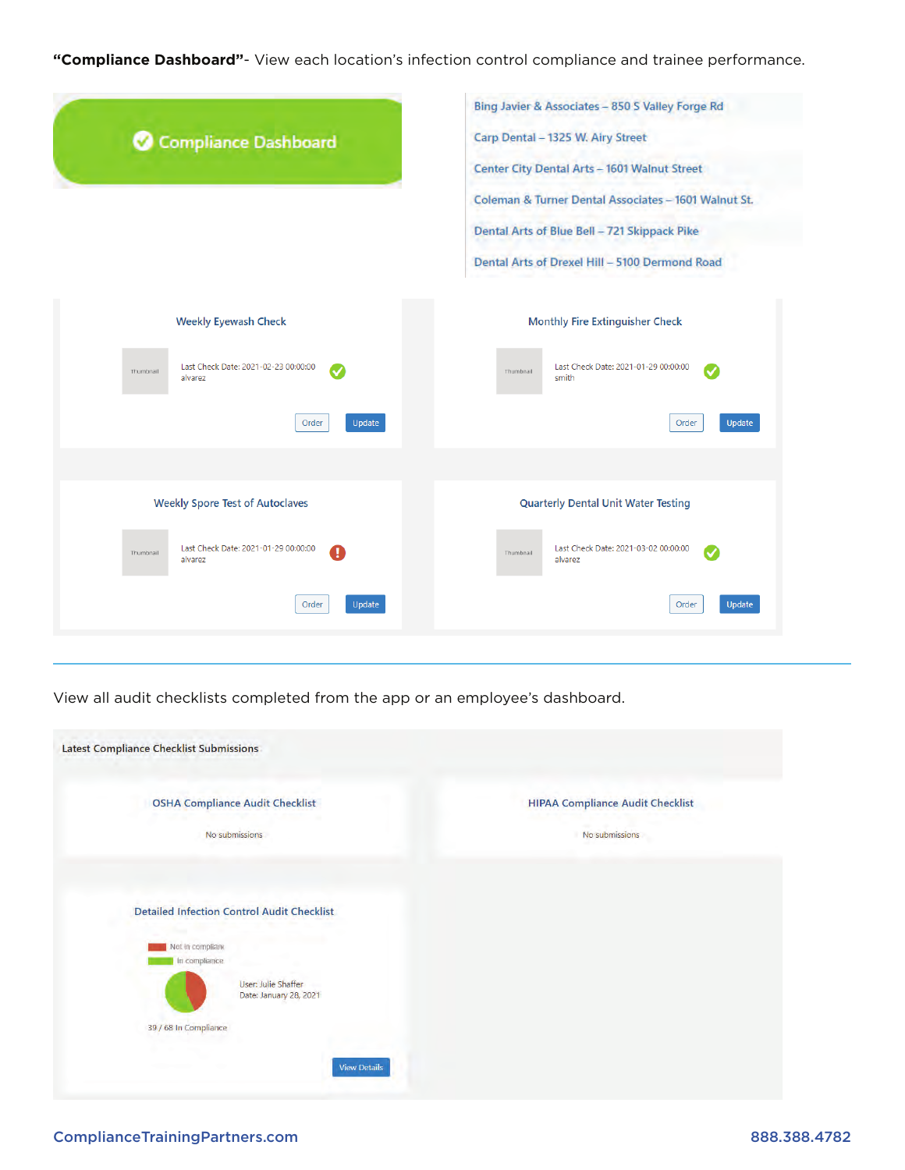**"Compliance Dashboard"**- View each location's infection control compliance and trainee performance.

| Compliance Dashboard                                                                 | Bing Javier & Associates - 850 S Valley Forge Rd<br>Carp Dental - 1325 W. Airy Street<br>Center City Dental Arts - 1601 Walnut Street<br>Coleman & Turner Dental Associates - 1601 Walnut St.<br>Dental Arts of Blue Bell - 721 Skippack Pike |  |  |
|--------------------------------------------------------------------------------------|-----------------------------------------------------------------------------------------------------------------------------------------------------------------------------------------------------------------------------------------------|--|--|
| <b>Weekly Eyewash Check</b>                                                          | Dental Arts of Drexel Hill - 5100 Dermond Road<br><b>Monthly Fire Extinguisher Check</b>                                                                                                                                                      |  |  |
| Last Check Date: 2021-02-23 00:00:00<br>Thumbnail<br>alvarez<br>Update<br>Order      | Last Check Date: 2021-01-29 00:00:00<br>Thumbnail<br>smith<br>Update<br>Order                                                                                                                                                                 |  |  |
| <b>Weekly Spore Test of Autoclaves</b>                                               | <b>Quarterly Dental Unit Water Testing</b>                                                                                                                                                                                                    |  |  |
| Last Check Date: 2021-01-29 00:00:00<br>a<br>Thumbnail<br>alvarez<br>Order<br>Update | Last Check Date: 2021-03-02 00:00:00<br>Thumbnail<br>alvarez<br>Update<br>Order                                                                                                                                                               |  |  |

View all audit checklists completed from the app or an employee's dashboard.

| Latest Compliance Checklist Submissions                                                                                                                          |                                                           |
|------------------------------------------------------------------------------------------------------------------------------------------------------------------|-----------------------------------------------------------|
| <b>OSHA Compliance Audit Checklist</b><br>No submissions                                                                                                         | <b>HIPAA Compliance Audit Checklist</b><br>No submissions |
| <b>Detailed Infection Control Audit Checklist</b><br>Not in compliant<br>In compliance<br>User: Julie Shaffer<br>Date: January 28, 2021<br>39 / 68 In Compliance |                                                           |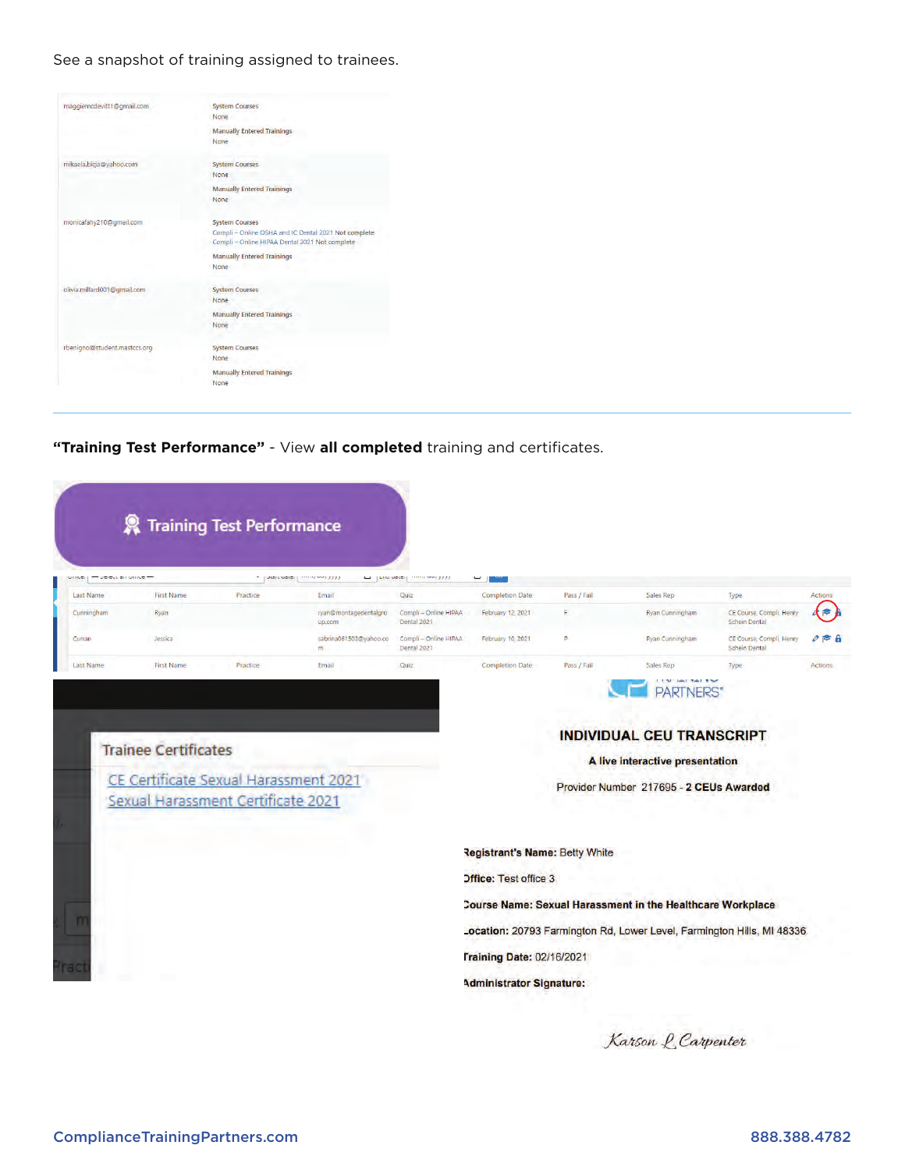See a snapshot of training assigned to trainees.

| maggiemcdevitt1@gmail.com    | <b>System Courses</b>                                                                                  |
|------------------------------|--------------------------------------------------------------------------------------------------------|
|                              | None                                                                                                   |
|                              | <b>Manually Entered Trainings</b>                                                                      |
|                              | None                                                                                                   |
| mikaela.bicja@yahoo.com      | <b>System Courses</b>                                                                                  |
|                              | None                                                                                                   |
|                              | <b>Manually Entered Trainings</b>                                                                      |
|                              | None                                                                                                   |
| monicafahy210@gmail.com      | <b>System Courses</b>                                                                                  |
|                              | Compli - Online OSHA and IC Dental 2021 Not complete<br>Compli - Online HIPAA Dental 2021 Not complete |
|                              | <b>Manually Entered Trainings</b>                                                                      |
|                              | None                                                                                                   |
| olivia.millard001@qmail.com  | <b>System Courses</b>                                                                                  |
|                              | None                                                                                                   |
|                              | <b>Manually Entered Trainings</b>                                                                      |
|                              | None                                                                                                   |
| rbenigno@student.mastccs.org | <b>System Courses</b>                                                                                  |
|                              | None                                                                                                   |
|                              | <b>Manually Entered Trainings</b>                                                                      |
|                              | None                                                                                                   |

**"Training Test Performance"** - View **all completed** training and certificates.

| TO DETENTION MINUTE<br>UHINGY |                                                                      | $\tau$   Juni Ludici | <b>THE EAST AND ADDRESS</b>     | La para viete may see 2777           | ىسە                                   |             |                                                                                                                |                                                  |                  |
|-------------------------------|----------------------------------------------------------------------|----------------------|---------------------------------|--------------------------------------|---------------------------------------|-------------|----------------------------------------------------------------------------------------------------------------|--------------------------------------------------|------------------|
| <b>Last Name</b>              | <b>First Name</b>                                                    | Practice             | Email                           | Quiz                                 | <b>Completion Date</b>                | Pass / Fail | <b>Sales Rep</b>                                                                                               | Type                                             | <b>Actions</b>   |
| Cunningham                    | Ryan                                                                 |                      | ryan@montagedentalgro<br>up.com | Compli - Online HIPAA<br>Dental 2021 | February 12, 2021                     | F.          | Ryan Cunningham                                                                                                | CE Course, Compli, Henry<br><b>Schein Dental</b> | <b>P</b>         |
| Curran                        | Jessica                                                              |                      | sabrina061503@yahoo.co<br>m     | Compli - Online HIPAA<br>Dental 2021 | February 10, 2021                     | p.          | Ryan Cunningham                                                                                                | CE Course, Compli, Henry<br>Schein Dental        | $\approx$ 8<br>o |
| <b>Last Name</b>              | <b>First Name</b>                                                    | Practice             | Email                           | Quiz                                 | <b>Completion Date</b>                | Pass / Fail | Sales Rep                                                                                                      | Type                                             | <b>Actions</b>   |
|                               |                                                                      |                      |                                 |                                      |                                       |             | <b>PARTNERS</b> *                                                                                              |                                                  |                  |
|                               | <b>Trainee Certificates</b><br>CE Certificate Sexual Harassment 2021 |                      |                                 |                                      |                                       |             | <b>INDIVIDUAL CEU TRANSCRIPT</b><br>A live interactive presentation<br>Provider Number 217695 - 2 CEUs Awarded |                                                  |                  |
|                               | Sexual Harassment Certificate 2021                                   |                      |                                 |                                      |                                       |             |                                                                                                                |                                                  |                  |
|                               |                                                                      |                      |                                 |                                      | <b>Registrant's Name: Betty White</b> |             |                                                                                                                |                                                  |                  |
|                               |                                                                      |                      |                                 |                                      | <b>Office: Test office 3</b>          |             |                                                                                                                |                                                  |                  |
|                               |                                                                      |                      |                                 |                                      |                                       |             | Course Name: Sexual Harassment in the Healthcare Workplace                                                     |                                                  |                  |
|                               |                                                                      |                      |                                 |                                      |                                       |             | Location: 20793 Farmington Rd, Lower Level, Farmington Hills, MI 48336                                         |                                                  |                  |
| Pract                         |                                                                      |                      |                                 |                                      | <b>Training Date: 02/16/2021</b>      |             |                                                                                                                |                                                  |                  |

Karson L. Carpenter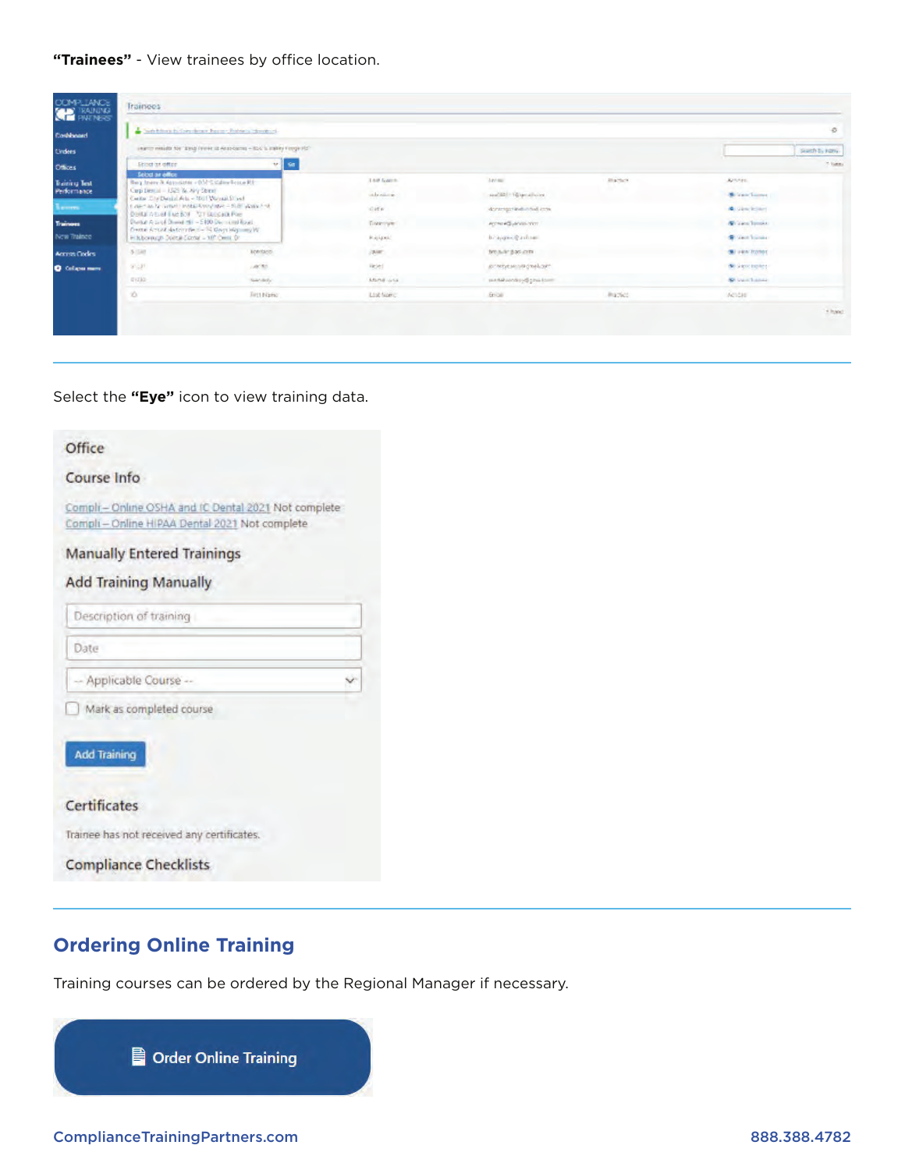### **"Trainees"** - View trainees by office location.

| COMPLIANCE             | <b>Trainees</b>                                                                                |                                                                            |               |                           |               |                     |                 |
|------------------------|------------------------------------------------------------------------------------------------|----------------------------------------------------------------------------|---------------|---------------------------|---------------|---------------------|-----------------|
| Contributed            |                                                                                                | a bankfore to bandone have chalors stronged.                               |               |                           |               |                     | $\circ$         |
| tinders                |                                                                                                | Learnty wealth for "Einig Ferriet 12 Anspitation - IDA's Uniter Fierge Rd" |               |                           |               |                     | search by namy. |
| Offices                | Seiner art affire                                                                              | $\mathbf{V}$<br>$\sim$                                                     |               |                           |               |                     | <b>Hilling</b>  |
| Training Test          | Select an office<br>Berg from A democracy - 050 Cadiny Scape Et-                               |                                                                            | Tool Game.    | Antonic.                  | <b>Barber</b> | Arrest.             |                 |
| Performance.           | Carp Derror - 1525 W. Airy Street<br>Center Elle Daniel Arts - 1911 Walsail Sheet-             |                                                                            | infratorie:   | ANCELLY Directions        |               | <b>Windfame</b>     |                 |
| Leoners.               | Delta Albert Tue Not Tor Begala, Pee-                                                          | 1.46m and in Green Lands & Wednesday - 10.86 Waller And                    | Giff n        | done gar individual con-  |               | <b>A</b> Sinckling  |                 |
| Trainees               | Durial A to of Donal Hi - 5100 Decisional Road<br>fronte Artist determines - Si Keys Higmun W. |                                                                            | Descripte:    | Active All person control |               | Writes Impor-       |                 |
| New Trainee            | Hillsborough Dointal Contain - 107 Cents, Dr.                                                  |                                                                            | <b>Rajani</b> | brajque gastran           |               | Within Transaction  |                 |
| <b>Arry's Codes</b>    | $5 - 38$                                                                                       | keerises.                                                                  | ior.          | brouk pacints.            |               | Gi ven hone:        |                 |
| <b>O</b> Collapse many | anzat.                                                                                         | Lector.                                                                    | liesed        | ACTERATION IN A PROFIL    |               | William boltes      |                 |
|                        | EVZA2:                                                                                         | Necdaty:                                                                   | Mand una      | sunne condered physicans  |               | <b>St</b> van Lance |                 |
|                        | $\infty$                                                                                       | First Name:                                                                | List fare:    | Brigg.                    | Practico.     | Antes               |                 |
|                        |                                                                                                |                                                                            |               |                           |               |                     | + hand          |
|                        |                                                                                                |                                                                            |               |                           |               |                     |                 |
|                        |                                                                                                |                                                                            |               |                           |               |                     |                 |

#### Select the **"Eye"** icon to view training data.

| Office                                                                                               |  |
|------------------------------------------------------------------------------------------------------|--|
| Course Info                                                                                          |  |
| Compli-Online OSHA and IC Dental 2021 Not complete<br>Compli - Online HIPAA Dental 2021 Not complete |  |
| <b>Manually Entered Trainings</b>                                                                    |  |
| <b>Add Training Manually</b>                                                                         |  |
| Description of training                                                                              |  |
| Date                                                                                                 |  |
| -- Applicable Course --                                                                              |  |
| Mark as completed course                                                                             |  |
| <b>Add Training</b>                                                                                  |  |
| Certificates                                                                                         |  |
| Trainee has not received any certificates.                                                           |  |
| <b>Compliance Checklists</b>                                                                         |  |

## **Ordering Online Training**

Training courses can be ordered by the Regional Manager if necessary.

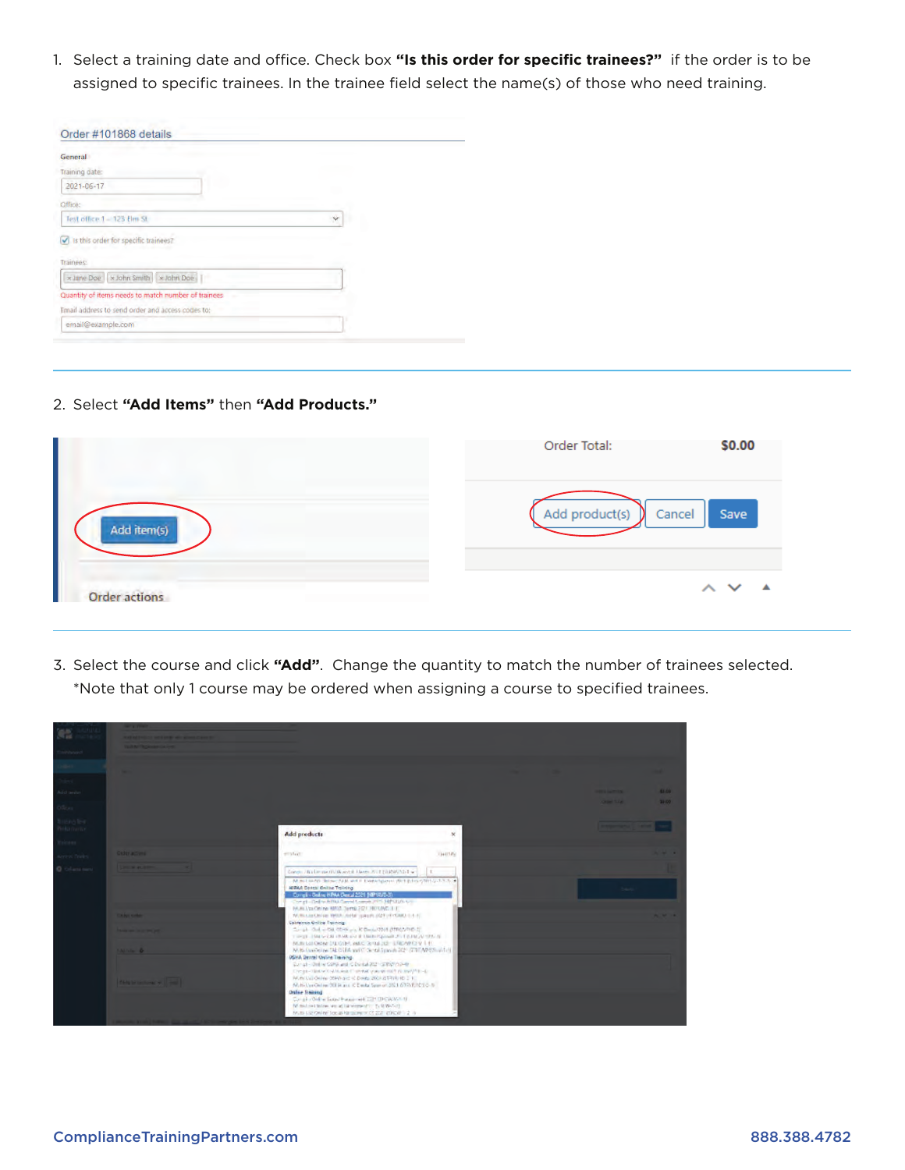1. Select a training date and office. Check box **"Is this order for specific trainees?"** if the order is to be assigned to specific trainees. In the trainee field select the name(s) of those who need training.

| <b>General</b>                                         |   |
|--------------------------------------------------------|---|
| Training date:                                         |   |
| 2021-06-17                                             |   |
| Office:                                                |   |
| Test office 1 - 125 Elm St.                            | × |
| Is this order for specific trainees?<br>v<br>Trainees: |   |
| x Jane Doe   x John Smith   x John Doe                 |   |
| Quantity of items needs to match number of trainees    |   |
| Email address to send order and access codes to:       |   |
| email@example.com                                      |   |

2. Select **"Add Items"** then **"Add Products."**

|                      | \$0.00<br>Order Total:                 |
|----------------------|----------------------------------------|
| Add item(s)          | Add product(s)<br>Save<br>Cancel<br>y. |
| <b>Order actions</b> | $\sim$ $\sim$<br>▲                     |

3. Select the course and click **"Add"**. Change the quantity to match the number of trainees selected. \*Note that only 1 course may be ordered when assigning a course to specified trainees.

| w.                                   | <b>LAN TECHNICAL COM</b>                 |                                                                                                                                                                                                                                                                                                                                                                                                                   |              |                    |       |
|--------------------------------------|------------------------------------------|-------------------------------------------------------------------------------------------------------------------------------------------------------------------------------------------------------------------------------------------------------------------------------------------------------------------------------------------------------------------------------------------------------------------|--------------|--------------------|-------|
|                                      |                                          |                                                                                                                                                                                                                                                                                                                                                                                                                   |              |                    |       |
|                                      |                                          |                                                                                                                                                                                                                                                                                                                                                                                                                   |              |                    |       |
| Add brder                            |                                          |                                                                                                                                                                                                                                                                                                                                                                                                                   |              | <b>HELL GARDEN</b> | 43.09 |
|                                      |                                          |                                                                                                                                                                                                                                                                                                                                                                                                                   |              | <b>ONE STATE</b>   | 30.05 |
| ining teel.<br>Historia<br>tuinees - |                                          | Add products                                                                                                                                                                                                                                                                                                                                                                                                      | $\mathbf{x}$ |                    |       |
| <b>Arrest Textes</b>                 | CAST ACTIVE                              | employed.                                                                                                                                                                                                                                                                                                                                                                                                         | TRANSFERE    |                    |       |
| <b>O</b> Column survi                |                                          |                                                                                                                                                                                                                                                                                                                                                                                                                   |              |                    |       |
|                                      |                                          | Complete Broadworld (April 8 North 2012) (SENDARD 1 w 1<br>M. In Faulth, Those: New Web Every New York (Rich Public Office 2012) 30<br>HERAK Dental Online Titiliting<br>Complex Online HIPAA Desiul 2021 (HIP1AUD-3)<br>Complete Confront PRA Cancel Complete PTS 34P CERA CO.<br>MUNIUM ON HA WAS DUTE 2071 ROTANT L.C.                                                                                         | I t.         | <b>Dark</b>        |       |
|                                      | <b>Call Age Accordance</b>               | NUTRALISTING RESPONSIBLY SPECIAL AND CONTRACTOR.<br>California Online Training                                                                                                                                                                                                                                                                                                                                    |              |                    |       |
|                                      | <b>SALVAN &amp;</b>                      | Single Old with other in K Design 2011 (STRC/PHD 2)<br>THREE CONTROLLER IS NOT THE RESIDENCE OF A REPORT OF THE RESIDENCE OF A REPORT OF THE RESIDENCE OF A REPORT OF THE RESIDENCE OF A REPORT OF THE RESIDENCE OF A REPORT OF THE REPORT OF THE REPORT OF THE REPORT OF THE REPORT<br>MUSICAL DOMESTIC OR UNION SENSIBLE SPEAKER VILLE<br>M. B. Confort as TAL DIER want Concelligation 245 (2010) APRIMUM (19) |              |                    |       |
|                                      | <b>Rich by the members of the limits</b> | OSHA Dental Online Training.<br>Current - Online CORA and C Donal 2021 (STRAPAD-B)<br>Diego-Slate/OdMusicColoral yas in mil runni/Mi-4/<br>Municipal Online COM/Hand in Donda 2001/2017(8):10 2 V.<br>Marticlay Online 2019, and K Dental Span on 2021 6775 670 212 1-0<br><b>Online Staining</b>                                                                                                                 |              |                    |       |
|                                      |                                          | Canado Online Sexual Hansanaed 2221 (INSWART)<br>Ministra Online, we additiveness of the CoNSAST.<br>Muss for Online Top as Reporters 27,222 (DRCW 1.2 /s)                                                                                                                                                                                                                                                        |              |                    |       |